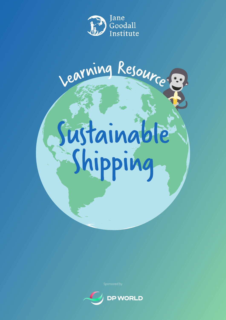

# Sustainable Shipping Learning Resource

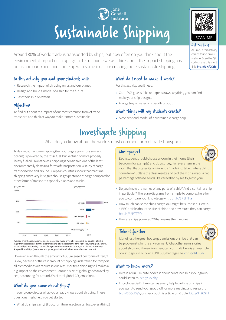## Sustainable Shipping

Goodall

Around 80% of world trade is transported by ships, but how often do you think about the environmental impact of shipping? In this resource we will think about the impact shipping has on us and our planet and come up with some ideas for creating more sustainable shipping.

#### In this activity you and your students will:

- $\triangleright$  Research the impact of shipping on us and our planet.
- $\blacktriangleright$  Design and build a model of a ship for the future.
- $\blacktriangleright$  Test their ship on water!

#### Objectives

To find out about the impact of our most common form of trade transport, and think of ways to make it more sustainable.

#### What do I need to make it work?

For this activity, you'll need:

- ▶ Card, PVA glue, sticks or paper straws, anything you can find to make your ship designs.
- ▶ A large tray of water or a paddling pool.

#### What things will my students create?

 $\triangleright$  A concept and model of a sustainable cargo ship.

## Investigate shipping

What do you know about the world's most common form of trade transport?

Today, most maritime shipping (transporting cargo across seas and oceans) is powered by the fossil fuel 'bunker fuel', or more properly 'heavy fuel oil'. Nonetheless, shipping is considered one of the least environmentally damaging forms of transportation. A study of cargo transported to and around European countries shows that maritime shipping emits very little greenhouse gas per tonne of cargo compared to other forms of transport, especially planes and trucks.



Average greenhouse gas emissions by motorised mode of freight transport, EU-27, 2014-2018. A logarithmic scale is used in the diagram on the left, the diagram on the right shows the grams of CO<sub>;</sub><br>produced by transporting 1 tonne of cargo one kilometer (HGV = truck, IWW = inland waterway) – Adapted from<https://www.eea.europa.eu/publications/rail-and-waterborne-transport>

However, even though the amount of CO<sub>2</sub> released per tonne of freight is low, because of the vast amount of shipping undertaken to transport all commodities we require in our lives, maritime shipping still makes a big impact on the environment – around 80% of global goods travel by sea, accounting for around 3% of total global CO $_{\tiny 2}$  emissions.

#### What do you know about ships?

In your group discuss what you already know about shipping. These questions might help you get started:

▶ What do ships carry? (Food, furniture. electronics, toys, everything!)

#### Mini-project

Each student should choose a room in their home (their bedroom for example) and do a survey. For every item in the room that that states its origin (e.g. a 'made in...' label), where did it come from? Collate the class results and plot them on a map. What percentage of those goods likely travelled by sea to get to you?

- ▶ Do you know the names of any parts of a ship? And a container ship in particular? There are diagrams from simple to complex here for you to compare your knowledge with: [bit.ly/3K1FNFa](https://bit.ly/3K1FNFa)
- ▶ How much can some ships carry? You might be surprised! Here is a BBC article about the size of ships and how much they can carry: [bbc.in/32PTTZO](https://bbc.in/32PTTZO)
- ▶ How are ships powered? What makes them move?

#### Take it further



It's not just the greenhouse gas emissions of ships that can be problematic for the environment. What other news stories about ships and the environment can you find? Here is an example of a ship spilling oil over a UNESCO heritage site: [cnn.it/3zLK0rN](https://cnn.it/3zLK0rN)

#### Want to know more?

- $\blacktriangleright$  Here is a fun 6 minute podcast about container ships your group could listen to: [bit.ly/3t2phyR](https://bit.ly/3t2phyR)
- ▶ Encyclopædia Britannica has a very helpful article on ships if you want to send your group off for more reading and research: [bit.ly/3G5dDGV,](https://bit.ly/3G5dDGV) or check out this article on Kiddle: [bit.ly/3F2CSIH](https://bit.ly/3F2CSIH)



#### Get the links All links in this activity can be found on our website. Scan the QR code or use this short link: **[bit.ly/3KfCf2h](http://bit.ly/3KfCf2h)**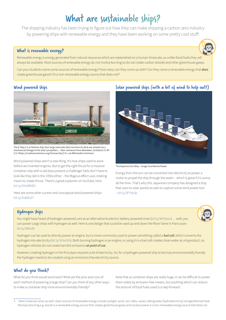## What are sustainable ships?

The shipping industry has been trying to figure out how they can make shipping a carbon zero industry by powering ships with renewable energy and they have been working on some pretty cool stuff!

#### What is renewable energy?

Renewable energy is energy generated from natural resources which are replenished on a human timescale, so unlike fossil fuels they will always be available. Most sources of renewable energy do not involve burning so do not create carbon dioxide and other greenhouse gases.

Can your students name some sources of renewable energy? How many can they come up with? Can they name a renewable energy that *does* create greenhouse gases? Or a non-renewable energy source that does not?<sup>1</sup>

#### Wind powered ships



The E-Ship 1 is a Flettner ship: four large rotorsails that rise from its deck are rotated via a mechanical linkage to the ship's propellers. – Alan Jamieson from Aberdeen, Scotland, CC BY 2.0 <https://creativecommons.org/licenses/by/2.0>, via Wikimedia Commons

Wind powered ships aren't a new thing. It's how ships used to work before we invented engines. But to get the right thrust for a massive container ship with a sail does present a challenge! Sails don't have to look like they did in the 1700s either – the Magnus effect uses rotating masts to create thrust. There's a great explainer on YouTube, here: [bit.ly/3HUMNBS](https://bit.ly/3HUMNBS)

Here are some other current and conceptual wind powered ships: [bit.ly/3n6M1d7](https://bit.ly/3n6M1d7)

#### Solar powered ships (with a bit of wind to help out!)



The Aquarius Eco Ship – Image: Eco Marine Power

Energy from the sun can be converted into electricity to power a motor to propel the ship through the water – which is great if it's sunny all the time. That's why this Japanese company has designed a ship that uses its solar panels as sails to capture some wind power too! – [bit.ly/3F5Yp3p](https://bit.ly/3F5Yp3p)

#### Hydrogen ships

You might have heard of hydrogen powered cars as an alternative to electric battery powered ones ([bit.ly/3K2Ypoc](https://bit.ly/3K2Ypoc)) … well, you can power cargo ships with hydrogen as well. Here is one design that could be used up and down the River Seine in Paris soon: [bit.ly/3t6tuBr](https://bit.ly/3t6tuBr)

Hydrogen can be used to directly power an engine, but is more commonly used to power something called a *fuel cell*, which converts the hydrogen into electricity ([bit.ly/3r9xGh5\)](https://bit.ly/3r9xGh5). Both burning hydrogen in an engine, or using it in a fuel cell creates clean water as a byproduct, so hydrogen vehicles do not create harmful emissions *at point of use*.

However, creating hydrogen in the first place requires a lot of electricity. So, for a hydrogen powered ship to be truly environmentally friendly the hydrogen needs to be created using an emissions free electricity source.

#### What do you think?

What do you think would work best? What are the pros and cons of each method of powering a large ship? Can you think of any other ways to make a container ship more environmentally friendly?

Note that as container ships are really huge, it can be difficult to power them solely by emission-free means, but anything which can reduce the amount of fossil fuels used is a step forward.

<sup>1</sup> Here's what we came up with: clean sources of renewable energy include sunlight, wind, rain, tides, waves, falling water (hydroelectricity) and geothermal heat. Biomass (burning e.g. wood) is a renewable energy source that creates greenhouse gases and nuclear power is a non-renewable energy source that does not.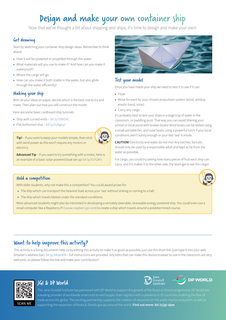## Design and make your own container ship

Now that we've thought a bit about shipping and ships, it's time to design and make your own!

#### Get drawing

Start by sketching your container ship design ideas. Remember to think about:

- ▶ How it will be powered or propelled through the water.
- ▶ What materials will you use to make it? And how can you make it waterproof?
- $\triangleright$  Where the cargo will go.
- ▶ How can you make it both stable in the water, but also glide through the water efficiently?

#### Making your ship

With all your ideas on paper, decide which is the best one to try and make. Then plan out how you will construct the model.

Here are some basic cardboard ship tutorials:

- ▶ Ship with curved ends [bit.ly/339iSXC](https://bit.ly/339iSXC)
- ▶ Flat bottomed ship – [bit.ly/3JNgsyJ](https://bit.ly/3JNgsyJ)



**Tip!** – If you want to keep your models simple, then stick with wind power as this won't require any motors or electrics.

**Advanced Tip** – If you want to try something with a motor, here is an example of a basic solar powered boat set up: [bit.ly/337G8Fs](https://bit.ly/337G8Fs)



#### Test your model

Once you have made your ship we need to test it to see if it can:

- ▶ Float
- $\triangleright$  Move forward by your chosen propulsion system (wind, windup elastic band, solar)
- ▶ Carry any cargo

It's probably best to test your ships in a large tray of water in the classroom, or paddling pool. That way you can avoid littering your school or local pond with broken boats! Wind boats can be tested using a small portable fan, and solar boats using a powerful torch if your local conditions aren't sunny enough or your test 'sea' is inside.

**CAUTION!** Electricity and water do not mix! Any torches, fans etc. should only be used by a responsible adult and kept as far from the water as possible.

For cargo, you could try seeing how many pieces of fruit each ship can carry, and if it makes it to the other side, the team get to eat the cargo!

Jane<br>Goodall

**DP WORLD** 

#### Hold a competition

With older students, why not make this a competition? You could award prizes for:

- ▶ The ship which can transport the heaviest load across your 'sea' without sinking or coming to a halt.
- ▶ The ship which travels fastest under the standard conditions.

More advanced students might also be interested in developing a remotely steerable, renewable energy powered ship. You could even use a small computer like a Raspberry Pi ( [www.raspberrypi.com](https://www.raspberrypi.com/)) to create a ship which travels around a predetermined course.

#### Want to help improve this activity?

This activity is a living document! Help us by editing this activity to make it as good as possible, just use this short link (just type it into your web browser's address bar): [bit.ly/34ow3EB](https://bit.ly/34ow3EB) – full instructions are provided. Any edits that can make this resource easier to use in the classroom are very welcome, so please follow the link and make your contribution!



#### JGI & DP World

The Jane Goodall Institute has partnered with DP World to support the growth of the Roots & Shoots programme. DP World are a leading provider of worldwide smart end-to-end supply chain logistics with a presence in 55 countries, enabling the flow of trade across the globe. This exciting partnership supports the creation of resources on the wider marine ecosystem as well as supporting the expansion of Roots & Shoots groups around the world. **Find out more: [bit.ly/jgi-dpw](http://bit.ly/jgi-dpw)**